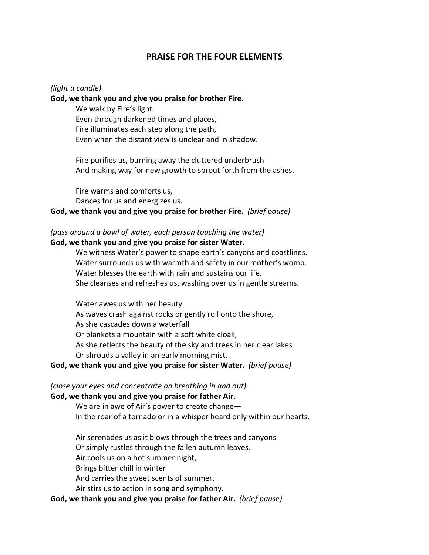# **PRAISE FOR THE FOUR ELEMENTS**

#### *(light a candle)*

#### **God, we thank you and give you praise for brother Fire.**

We walk by Fire's light. Even through darkened times and places, Fire illuminates each step along the path, Even when the distant view is unclear and in shadow.

Fire purifies us, burning away the cluttered underbrush And making way for new growth to sprout forth from the ashes.

Fire warms and comforts us, Dances for us and energizes us.

### **God, we thank you and give you praise for brother Fire.** *(brief pause)*

## *(pass around a bowl of water, each person touching the water)* **God, we thank you and give you praise for sister Water.**

We witness Water's power to shape earth's canyons and coastlines. Water surrounds us with warmth and safety in our mother's womb. Water blesses the earth with rain and sustains our life. She cleanses and refreshes us, washing over us in gentle streams.

Water awes us with her beauty As waves crash against rocks or gently roll onto the shore, As she cascades down a waterfall Or blankets a mountain with a soft white cloak, As she reflects the beauty of the sky and trees in her clear lakes Or shrouds a valley in an early morning mist.

### **God, we thank you and give you praise for sister Water.** *(brief pause)*

#### *(close your eyes and concentrate on breathing in and out)* **God, we thank you and give you praise for father Air.**

We are in awe of Air's power to create change— In the roar of a tornado or in a whisper heard only within our hearts.

Air serenades us as it blows through the trees and canyons Or simply rustles through the fallen autumn leaves. Air cools us on a hot summer night, Brings bitter chill in winter And carries the sweet scents of summer. Air stirs us to action in song and symphony.

## **God, we thank you and give you praise for father Air.** *(brief pause)*